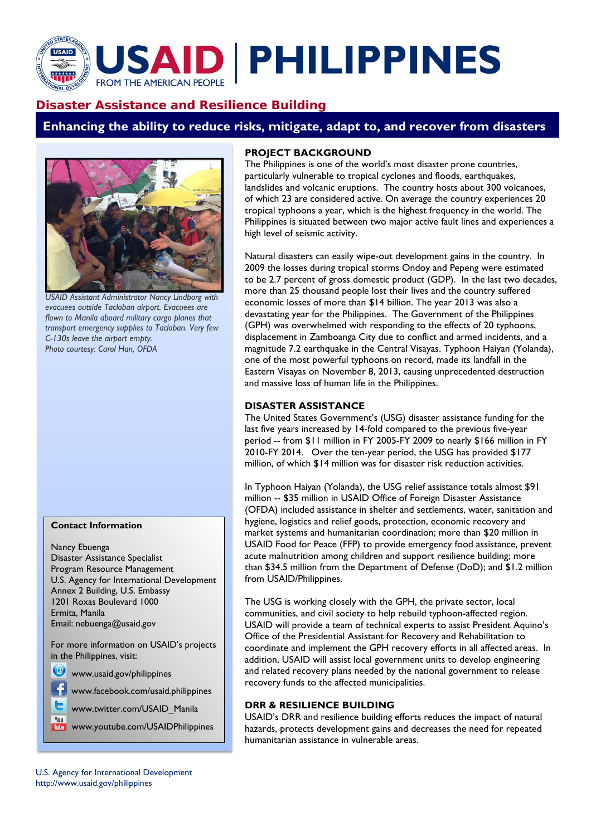# **JSAID PHILIPPINES FROM THE AMERICAN PEOPLE**

# **Disaster Assistance and Resilience Building**

**Enhancing the ability to reduce risks, mitigate, adapt to, and recover from disasters** 



*USAID Assistant Administrator Nancy Lindborg with evacuees outside Tacloban airport. Evacuees are flown to Manila aboard military cargo planes that transport emergency supplies to Tacloban. Very few C-130s leave the airport empty. Photo courtesy: Carol Han, OFDA*

#### **Contact Information**

Nancy Ebuenga Disaster Assistance Specialist Program Resource Management U.S. Agency for International Development Annex 2 Building, U.S. Embassy 1201 Roxas Boulevard 1000 Ermita, Manila Email: nebuenga@usaid.gov

For more information on USAID's projects in the Philippines, visit:

www.usaid.gov/philippines

You

www.facebook.com/usaid.philippines

www.twitter.com/USAID\_Manila

www.youtube.com/USAIDPhilippines

## **PROJECT BACKGROUND**

The Philippines is one of the world's most disaster prone countries, particularly vulnerable to tropical cyclones and floods, earthquakes, landslides and volcanic eruptions. The country hosts about 300 volcanoes, of which 23 are considered active. On average the country experiences 20 tropical typhoons a year, which is the highest frequency in the world. The Philippines is situated between two major active fault lines and experiences a high level of seismic activity.

Natural disasters can easily wipe-out development gains in the country. In 2009 the losses during tropical storms Ondoy and Pepeng were estimated to be 2.7 percent of gross domestic product (GDP). In the last two decades, more than 25 thousand people lost their lives and the country suffered economic losses of more than \$14 billion. The year 2013 was also a devastating year for the Philippines. The Government of the Philippines (GPH) was overwhelmed with responding to the effects of 20 typhoons, displacement in Zamboanga City due to conflict and armed incidents, and a magnitude 7.2 earthquake in the Central Visayas. Typhoon Haiyan (Yolanda), one of the most powerful typhoons on record, made its landfall in the Eastern Visayas on November 8, 2013, causing unprecedented destruction and massive loss of human life in the Philippines.

#### **DISASTER ASSISTANCE**

The United States Government's (USG) disaster assistance funding for the last five years increased by 14-fold compared to the previous five-year period -- from \$11 million in FY 2005-FY 2009 to nearly \$166 million in FY 2010-FY 2014. Over the ten-year period, the USG has provided \$177 million, of which \$14 million was for disaster risk reduction activities.

In Typhoon Haiyan (Yolanda), the USG relief assistance totals almost \$91 million -- \$35 million in USAID Office of Foreign Disaster Assistance (OFDA) included assistance in shelter and settlements, water, sanitation and hygiene, logistics and relief goods, protection, economic recovery and market systems and humanitarian coordination; more than \$20 million in USAID Food for Peace (FFP) to provide emergency food assistance, prevent acute malnutrition among children and support resilience building; more than \$34.5 million from the Department of Defense (DoD); and \$1.2 million from USAID/Philippines.

The USG is working closely with the GPH, the private sector, local communities, and civil society to help rebuild typhoon-affected region. USAID will provide a team of technical experts to assist President Aquino's Office of the Presidential Assistant for Recovery and Rehabilitation to coordinate and implement the GPH recovery efforts in all affected areas. In addition, USAID will assist local government units to develop engineering and related recovery plans needed by the national government to release recovery funds to the affected municipalities.

### **DRR & RESILIENCE BUILDING**

USAID's DRR and resilience building efforts reduces the impact of natural hazards, protects development gains and decreases the need for repeated humanitarian assistance in vulnerable areas.

U.S. Agency for International Development http://www.usaid.gov/philippines